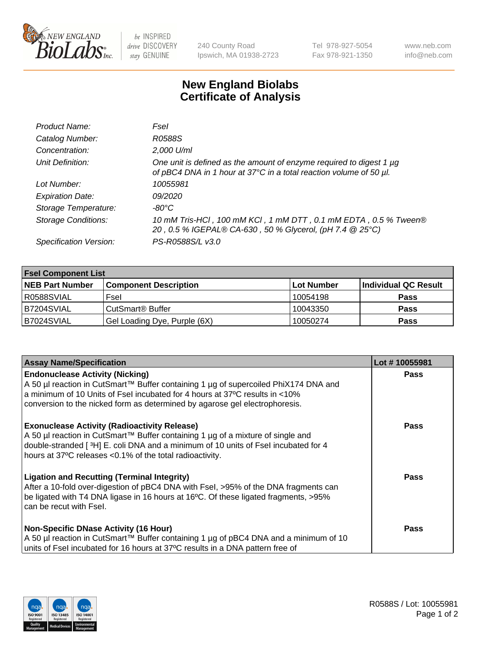

 $be$  INSPIRED drive DISCOVERY stay GENUINE

240 County Road Ipswich, MA 01938-2723 Tel 978-927-5054 Fax 978-921-1350 www.neb.com info@neb.com

## **New England Biolabs Certificate of Analysis**

| Product Name:              | Fsel                                                                                                                                           |
|----------------------------|------------------------------------------------------------------------------------------------------------------------------------------------|
| Catalog Number:            | R0588S                                                                                                                                         |
| Concentration:             | 2,000 U/ml                                                                                                                                     |
| Unit Definition:           | One unit is defined as the amount of enzyme required to digest 1 $\mu$ g<br>of pBC4 DNA in 1 hour at 37°C in a total reaction volume of 50 µl. |
| Lot Number:                | 10055981                                                                                                                                       |
| <b>Expiration Date:</b>    | <i>09/2020</i>                                                                                                                                 |
| Storage Temperature:       | $-80^{\circ}$ C                                                                                                                                |
| <b>Storage Conditions:</b> | 10 mM Tris-HCl, 100 mM KCl, 1 mM DTT, 0.1 mM EDTA, 0.5 % Tween®<br>20, 0.5 % IGEPAL® CA-630, 50 % Glycerol, (pH 7.4 @ 25°C)                    |
| Specification Version:     | PS-R0588S/L v3.0                                                                                                                               |

| <b>Fsel Component List</b> |                              |            |                      |  |  |
|----------------------------|------------------------------|------------|----------------------|--|--|
| <b>NEB Part Number</b>     | <b>Component Description</b> | Lot Number | Individual QC Result |  |  |
| R0588SVIAL                 | Fsel                         | 10054198   | <b>Pass</b>          |  |  |
| B7204SVIAL                 | CutSmart <sup>®</sup> Buffer | 10043350   | <b>Pass</b>          |  |  |
| B7024SVIAL                 | Gel Loading Dye, Purple (6X) | 10050274   | <b>Pass</b>          |  |  |

| <b>Assay Name/Specification</b>                                                                                                                                                                                                                                                             | Lot #10055981 |
|---------------------------------------------------------------------------------------------------------------------------------------------------------------------------------------------------------------------------------------------------------------------------------------------|---------------|
| <b>Endonuclease Activity (Nicking)</b><br>A 50 µl reaction in CutSmart™ Buffer containing 1 µg of supercoiled PhiX174 DNA and<br>a minimum of 10 Units of Fsel incubated for 4 hours at 37°C results in <10%<br>conversion to the nicked form as determined by agarose gel electrophoresis. | <b>Pass</b>   |
| <b>Exonuclease Activity (Radioactivity Release)</b><br>A 50 µl reaction in CutSmart™ Buffer containing 1 µg of a mixture of single and<br>double-stranded [3H] E. coli DNA and a minimum of 10 units of Fsel incubated for 4<br>hours at 37°C releases <0.1% of the total radioactivity.    | Pass          |
| <b>Ligation and Recutting (Terminal Integrity)</b><br>After a 10-fold over-digestion of pBC4 DNA with Fsel, >95% of the DNA fragments can<br>be ligated with T4 DNA ligase in 16 hours at 16°C. Of these ligated fragments, >95%<br>can be recut with Fsel.                                 | Pass          |
| <b>Non-Specific DNase Activity (16 Hour)</b><br>A 50 µl reaction in CutSmart™ Buffer containing 1 µg of pBC4 DNA and a minimum of 10<br>units of Fsel incubated for 16 hours at 37°C results in a DNA pattern free of                                                                       | Pass          |